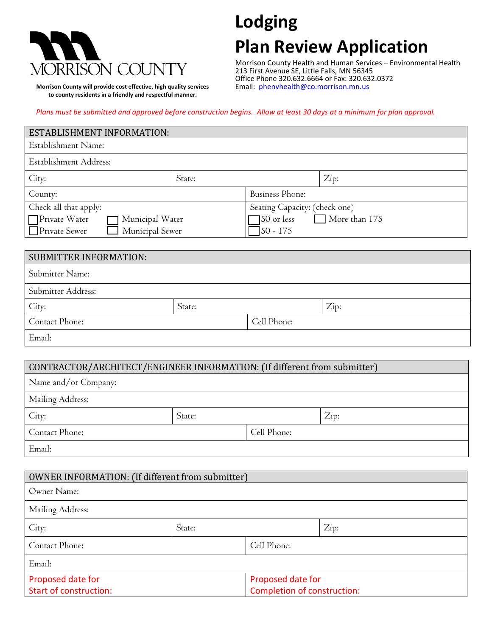

 **Morrison County will provide cost effective, high quality services to county residents in a friendly and respectful manner.**

# **Lodging**

## **Plan Review Application**

Morrison County Health and Human Services – Environmental Health 213 First Avenue SE, Little Falls, MN 56345 Office Phone 320.632.6664 or Fax: 320.632.0372 Email: [phenvhealth@co.morrison.mn.us](mailto:phenvhealth@co.morrison.mn.us) 

*Plans must be submitted and approved before construction begins. Allow at least 30 days at a minimum for plan approval.*

| <b>ESTABLISHMENT INFORMATION:</b>                                        |        |                                    |                               |  |
|--------------------------------------------------------------------------|--------|------------------------------------|-------------------------------|--|
| Establishment Name:                                                      |        |                                    |                               |  |
| Establishment Address:                                                   |        |                                    |                               |  |
| City:                                                                    | State: |                                    | Zip:                          |  |
| County:                                                                  |        | <b>Business Phone:</b>             |                               |  |
| Check all that apply:                                                    |        |                                    | Seating Capacity: (check one) |  |
| Private Water<br>Municipal Water                                         |        | $\Box$ More than 175<br>50 or less |                               |  |
| Private Sewer<br>Municipal Sewer                                         |        | $50 - 175$                         |                               |  |
|                                                                          |        |                                    |                               |  |
| <b>SUBMITTER INFORMATION:</b>                                            |        |                                    |                               |  |
| Submitter Name:                                                          |        |                                    |                               |  |
| Submitter Address:                                                       |        |                                    |                               |  |
| City:                                                                    | State: |                                    | Zip:                          |  |
| Contact Phone:                                                           |        | Cell Phone:                        |                               |  |
| Email:                                                                   |        |                                    |                               |  |
|                                                                          |        |                                    |                               |  |
| CONTRACTOR/ARCHITECT/ENGINEER INFORMATION: (If different from submitter) |        |                                    |                               |  |
| Name and/or Company:                                                     |        |                                    |                               |  |
|                                                                          |        |                                    |                               |  |

| Mailing Address: |        |             |      |  |
|------------------|--------|-------------|------|--|
| City:            | State: |             | Zip: |  |
| Contact Phone:   |        | Cell Phone: |      |  |
| Email:           |        |             |      |  |

| OWNER INFORMATION: (If different from submitter) |        |                             |      |  |
|--------------------------------------------------|--------|-----------------------------|------|--|
| Owner Name:                                      |        |                             |      |  |
| Mailing Address:                                 |        |                             |      |  |
| City:                                            | State: |                             | Zip: |  |
| Contact Phone:                                   |        | Cell Phone:                 |      |  |
| Email:                                           |        |                             |      |  |
| Proposed date for                                |        | Proposed date for           |      |  |
| <b>Start of construction:</b>                    |        | Completion of construction: |      |  |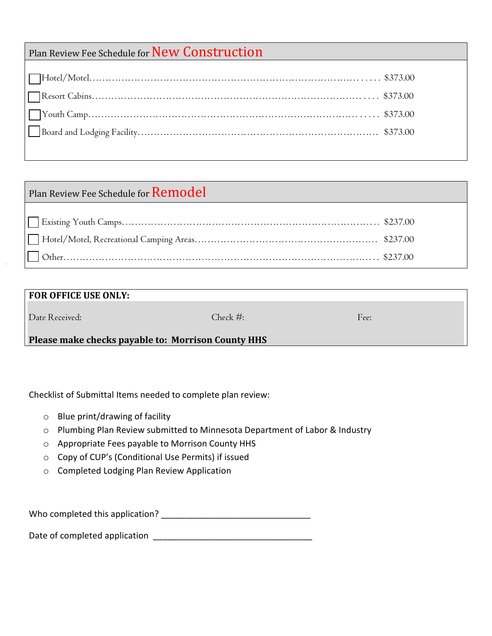### Plan Review Fee Schedule for New Construction

### Plan Review Fee Schedule for Remodel

| <b>FOR OFFICE USE ONLY:</b>                        |              |      |  |
|----------------------------------------------------|--------------|------|--|
| Date Received:                                     | Check $\#$ : | Fee: |  |
| Please make checks payable to: Morrison County HHS |              |      |  |

Checklist of Submittal Items needed to complete plan review:

- o Blue print/drawing of facility
- o Plumbing Plan Review submitted to Minnesota Department of Labor & Industry
- o Appropriate Fees payable to Morrison County HHS
- o Copy of CUP's (Conditional Use Permits) if issued
- o Completed Lodging Plan Review Application

Who completed this application?

Date of completed application \_\_\_\_\_\_\_\_\_\_\_\_\_\_\_\_\_\_\_\_\_\_\_\_\_\_\_\_\_\_\_\_\_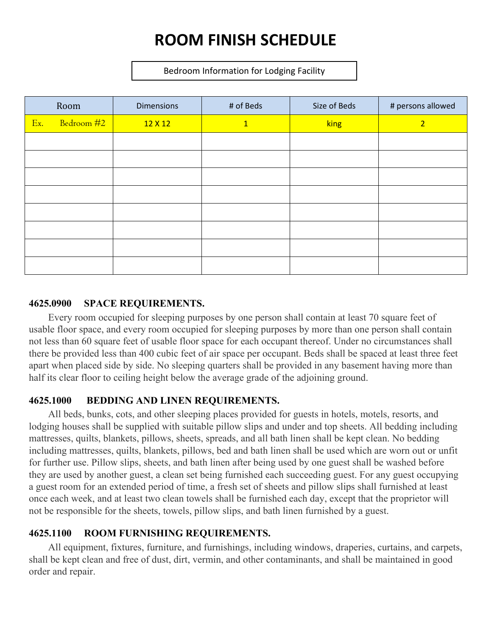## **ROOM FINISH SCHEDULE**

Bedroom Information for Lodging Facility

|     | Room       | <b>Dimensions</b> | # of Beds    | Size of Beds | # persons allowed |
|-----|------------|-------------------|--------------|--------------|-------------------|
| Ex. | Bedroom #2 | 12 X 12           | $\mathbf{1}$ | king         | $\overline{2}$    |
|     |            |                   |              |              |                   |
|     |            |                   |              |              |                   |
|     |            |                   |              |              |                   |
|     |            |                   |              |              |                   |
|     |            |                   |              |              |                   |
|     |            |                   |              |              |                   |
|     |            |                   |              |              |                   |
|     |            |                   |              |              |                   |

#### **4625.0900 SPACE REQUIREMENTS.**

Every room occupied for sleeping purposes by one person shall contain at least 70 square feet of usable floor space, and every room occupied for sleeping purposes by more than one person shall contain not less than 60 square feet of usable floor space for each occupant thereof. Under no circumstances shall there be provided less than 400 cubic feet of air space per occupant. Beds shall be spaced at least three feet apart when placed side by side. No sleeping quarters shall be provided in any basement having more than half its clear floor to ceiling height below the average grade of the adjoining ground.

### **4625.1000 BEDDING AND LINEN REQUIREMENTS.**

All beds, bunks, cots, and other sleeping places provided for guests in hotels, motels, resorts, and lodging houses shall be supplied with suitable pillow slips and under and top sheets. All bedding including mattresses, quilts, blankets, pillows, sheets, spreads, and all bath linen shall be kept clean. No bedding including mattresses, quilts, blankets, pillows, bed and bath linen shall be used which are worn out or unfit for further use. Pillow slips, sheets, and bath linen after being used by one guest shall be washed before they are used by another guest, a clean set being furnished each succeeding guest. For any guest occupying a guest room for an extended period of time, a fresh set of sheets and pillow slips shall furnished at least once each week, and at least two clean towels shall be furnished each day, except that the proprietor will not be responsible for the sheets, towels, pillow slips, and bath linen furnished by a guest.

### **4625.1100 ROOM FURNISHING REQUIREMENTS.**

All equipment, fixtures, furniture, and furnishings, including windows, draperies, curtains, and carpets, shall be kept clean and free of dust, dirt, vermin, and other contaminants, and shall be maintained in good order and repair.